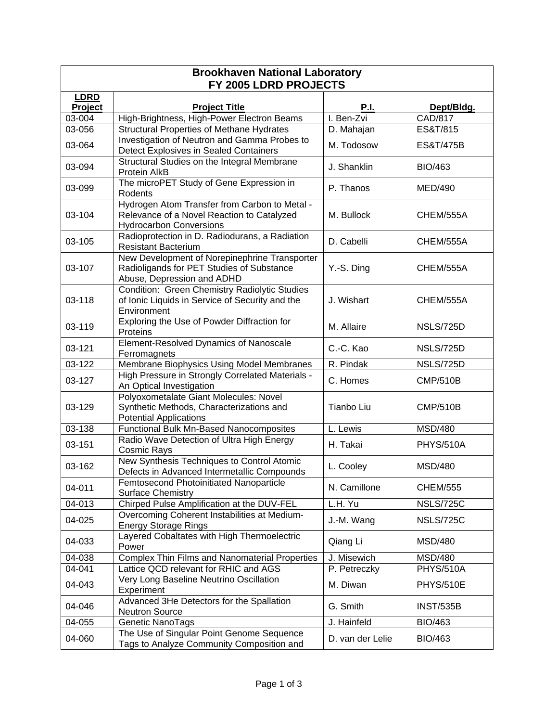| <b>Brookhaven National Laboratory</b> |                                                                                                                               |                  |                  |  |  |  |
|---------------------------------------|-------------------------------------------------------------------------------------------------------------------------------|------------------|------------------|--|--|--|
| FY 2005 LDRD PROJECTS                 |                                                                                                                               |                  |                  |  |  |  |
| <b>LDRD</b><br>Project                | <b>Project Title</b>                                                                                                          | <b>P.I.</b>      | Dept/Bldg.       |  |  |  |
| 03-004                                | High-Brightness, High-Power Electron Beams                                                                                    | I. Ben-Zvi       | CAD/817          |  |  |  |
| 03-056                                | <b>Structural Properties of Methane Hydrates</b>                                                                              | D. Mahajan       | ES&T/815         |  |  |  |
| 03-064                                | Investigation of Neutron and Gamma Probes to<br>Detect Explosives in Sealed Containers                                        | M. Todosow       | ES&T/475B        |  |  |  |
| 03-094                                | Structural Studies on the Integral Membrane<br>Protein AlkB                                                                   | J. Shanklin      | <b>BIO/463</b>   |  |  |  |
| 03-099                                | The microPET Study of Gene Expression in<br>Rodents                                                                           | P. Thanos        | MED/490          |  |  |  |
| 03-104                                | Hydrogen Atom Transfer from Carbon to Metal -<br>Relevance of a Novel Reaction to Catalyzed<br><b>Hydrocarbon Conversions</b> | M. Bullock       | CHEM/555A        |  |  |  |
| 03-105                                | Radioprotection in D. Radiodurans, a Radiation<br><b>Resistant Bacterium</b>                                                  | D. Cabelli       | CHEM/555A        |  |  |  |
| 03-107                                | New Development of Norepinephrine Transporter<br>Radioligands for PET Studies of Substance<br>Abuse, Depression and ADHD      | Y.-S. Ding       | CHEM/555A        |  |  |  |
| 03-118                                | Condition: Green Chemistry Radiolytic Studies<br>of Ionic Liquids in Service of Security and the<br>Environment               | J. Wishart       | CHEM/555A        |  |  |  |
| 03-119                                | Exploring the Use of Powder Diffraction for<br>Proteins                                                                       | M. Allaire       | <b>NSLS/725D</b> |  |  |  |
| 03-121                                | Element-Resolved Dynamics of Nanoscale<br>Ferromagnets                                                                        | C.-C. Kao        | NSLS/725D        |  |  |  |
| 03-122                                | Membrane Biophysics Using Model Membranes                                                                                     | R. Pindak        | <b>NSLS/725D</b> |  |  |  |
| 03-127                                | High Pressure in Strongly Correlated Materials -<br>An Optical Investigation                                                  | C. Homes         | <b>CMP/510B</b>  |  |  |  |
| 03-129                                | Polyoxometalate Giant Molecules: Novel<br>Synthetic Methods, Characterizations and<br><b>Potential Applications</b>           | Tianbo Liu       | <b>CMP/510B</b>  |  |  |  |
| 03-138                                | Functional Bulk Mn-Based Nanocomposites                                                                                       | L. Lewis         | <b>MSD/480</b>   |  |  |  |
| 03-151                                | Radio Wave Detection of Ultra High Energy<br><b>Cosmic Rays</b>                                                               | H. Takai         | <b>PHYS/510A</b> |  |  |  |
| 03-162                                | New Synthesis Techniques to Control Atomic<br>Defects in Advanced Intermetallic Compounds                                     | L. Cooley        | <b>MSD/480</b>   |  |  |  |
| 04-011                                | Femtosecond Photoinitiated Nanoparticle<br><b>Surface Chemistry</b>                                                           | N. Camillone     | <b>CHEM/555</b>  |  |  |  |
| 04-013                                | Chirped Pulse Amplification at the DUV-FEL                                                                                    | L.H. Yu          | <b>NSLS/725C</b> |  |  |  |
| 04-025                                | Overcoming Coherent Instabilities at Medium-<br><b>Energy Storage Rings</b>                                                   | J.-M. Wang       | <b>NSLS/725C</b> |  |  |  |
| 04-033                                | Layered Cobaltates with High Thermoelectric<br>Power                                                                          | Qiang Li         | <b>MSD/480</b>   |  |  |  |
| 04-038                                | <b>Complex Thin Films and Nanomaterial Properties</b>                                                                         | J. Misewich      | <b>MSD/480</b>   |  |  |  |
| 04-041                                | Lattice QCD relevant for RHIC and AGS                                                                                         | P. Petreczky     | <b>PHYS/510A</b> |  |  |  |
| 04-043                                | Very Long Baseline Neutrino Oscillation<br>Experiment                                                                         | M. Diwan         | PHYS/510E        |  |  |  |
| 04-046                                | Advanced 3He Detectors for the Spallation<br><b>Neutron Source</b>                                                            | G. Smith         | <b>INST/535B</b> |  |  |  |
| 04-055                                | Genetic NanoTags                                                                                                              | J. Hainfeld      | <b>BIO/463</b>   |  |  |  |
| 04-060                                | The Use of Singular Point Genome Sequence<br>Tags to Analyze Community Composition and                                        | D. van der Lelie | <b>BIO/463</b>   |  |  |  |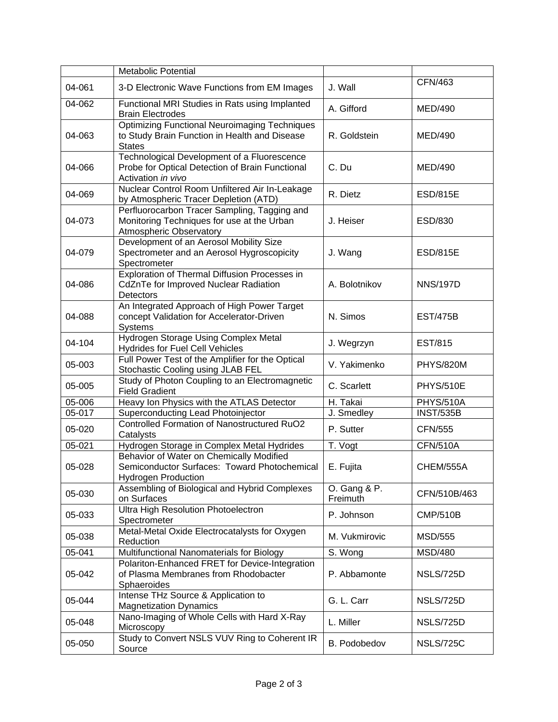|        | <b>Metabolic Potential</b>                                                                                             |                          |                  |
|--------|------------------------------------------------------------------------------------------------------------------------|--------------------------|------------------|
| 04-061 | 3-D Electronic Wave Functions from EM Images                                                                           | J. Wall                  | CFN/463          |
| 04-062 | Functional MRI Studies in Rats using Implanted<br><b>Brain Electrodes</b>                                              | A. Gifford               | MED/490          |
| 04-063 | <b>Optimizing Functional Neuroimaging Techniques</b><br>to Study Brain Function in Health and Disease<br><b>States</b> | R. Goldstein             | <b>MED/490</b>   |
| 04-066 | Technological Development of a Fluorescence<br>Probe for Optical Detection of Brain Functional<br>Activation in vivo   | C. Du                    | <b>MED/490</b>   |
| 04-069 | Nuclear Control Room Unfiltered Air In-Leakage<br>by Atmospheric Tracer Depletion (ATD)                                | R. Dietz                 | <b>ESD/815E</b>  |
| 04-073 | Perfluorocarbon Tracer Sampling, Tagging and<br>Monitoring Techniques for use at the Urban<br>Atmospheric Observatory  | J. Heiser                | ESD/830          |
| 04-079 | Development of an Aerosol Mobility Size<br>Spectrometer and an Aerosol Hygroscopicity<br>Spectrometer                  | J. Wang                  | <b>ESD/815E</b>  |
| 04-086 | Exploration of Thermal Diffusion Processes in<br>CdZnTe for Improved Nuclear Radiation<br>Detectors                    | A. Bolotnikov            | <b>NNS/197D</b>  |
| 04-088 | An Integrated Approach of High Power Target<br>concept Validation for Accelerator-Driven<br><b>Systems</b>             | N. Simos                 | <b>EST/475B</b>  |
| 04-104 | Hydrogen Storage Using Complex Metal<br><b>Hydrides for Fuel Cell Vehicles</b>                                         | J. Wegrzyn               | <b>EST/815</b>   |
| 05-003 | Full Power Test of the Amplifier for the Optical<br>Stochastic Cooling using JLAB FEL                                  | V. Yakimenko             | PHYS/820M        |
| 05-005 | Study of Photon Coupling to an Electromagnetic<br><b>Field Gradient</b>                                                | C. Scarlett              | <b>PHYS/510E</b> |
| 05-006 | Heavy Ion Physics with the ATLAS Detector                                                                              | H. Takai                 | <b>PHYS/510A</b> |
| 05-017 | Superconducting Lead Photoinjector                                                                                     | J. Smedley               | <b>INST/535B</b> |
| 05-020 | <b>Controlled Formation of Nanostructured RuO2</b><br>Catalysts                                                        | P. Sutter                | <b>CFN/555</b>   |
| 05-021 | Hydrogen Storage in Complex Metal Hydrides                                                                             | T. Vogt                  | <b>CFN/510A</b>  |
| 05-028 | Behavior of Water on Chemically Modified<br>Semiconductor Surfaces: Toward Photochemical<br><b>Hydrogen Production</b> | E. Fujita                | CHEM/555A        |
| 05-030 | Assembling of Biological and Hybrid Complexes<br>on Surfaces                                                           | O. Gang & P.<br>Freimuth | CFN/510B/463     |
| 05-033 | <b>Ultra High Resolution Photoelectron</b><br>Spectrometer                                                             | P. Johnson               | <b>CMP/510B</b>  |
| 05-038 | Metal-Metal Oxide Electrocatalysts for Oxygen<br>Reduction                                                             | M. Vukmirovic            | <b>MSD/555</b>   |
| 05-041 | Multifunctional Nanomaterials for Biology                                                                              | S. Wong                  | <b>MSD/480</b>   |
| 05-042 | Polariton-Enhanced FRET for Device-Integration<br>of Plasma Membranes from Rhodobacter<br>Sphaeroides                  | P. Abbamonte             | <b>NSLS/725D</b> |
| 05-044 | Intense THz Source & Application to<br><b>Magnetization Dynamics</b>                                                   | G. L. Carr               | <b>NSLS/725D</b> |
| 05-048 | Nano-Imaging of Whole Cells with Hard X-Ray<br>Microscopy                                                              | L. Miller                | NSLS/725D        |
| 05-050 | Study to Convert NSLS VUV Ring to Coherent IR<br>Source                                                                | B. Podobedov             | <b>NSLS/725C</b> |